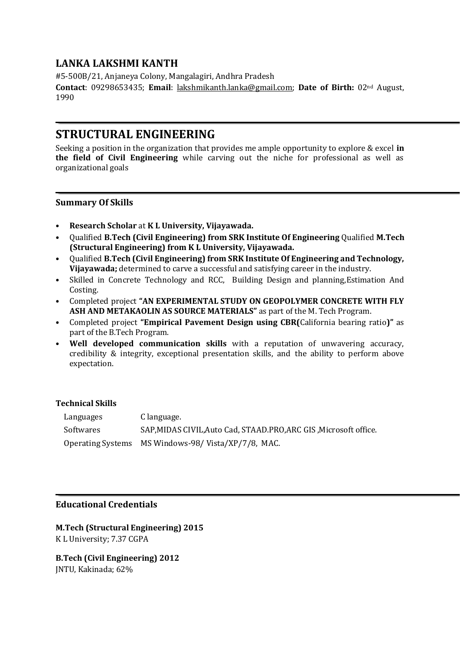# **LANKA LAKSHMI KANTH**

#5-500B/21, Anjaneya Colony, Mangalagiri, Andhra Pradesh **Contact**: 09298653435; **Email**: [lakshmikanth.lanka@gmail.com;](mailto:lakshmikanth.lanka@gmail.com) **Date of Birth:** 02nd August, 1990

# **STRUCTURAL ENGINEERING**

Seeking a position in the organization that provides me ample opportunity to explore & excel **in the field of Civil Engineering** while carving out the niche for professional as well as organizational goals

## **Summary Of Skills**

- **Research Scholar** at **K L University, Vijayawada.**
- Qualified **B.Tech (Civil Engineering) from SRK Institute Of Engineering** Qualified **M.Tech (Structural Engineering) from K L University, Vijayawada.**
- Qualified **B.Tech (Civil Engineering) from SRK Institute Of Engineering and Technology, Vijayawada;** determined to carve a successful and satisfying career in the industry.
- Skilled in Concrete Technology and RCC, Building Design and planning,Estimation And Costing.
- Completed project **"AN EXPERIMENTAL STUDY ON GEOPOLYMER CONCRETE WITH FLY ASH AND METAKAOLIN AS SOURCE MATERIALS"** as part of the M. Tech Program.
- Completed project **"Empirical Pavement Design using CBR(**California bearing ratio**)"** as part of the B.Tech Program.
- **Well developed communication skills** with a reputation of unwavering accuracy, credibility & integrity, exceptional presentation skills, and the ability to perform above expectation.

### **Technical Skills**

| Languages | C language.                                                       |
|-----------|-------------------------------------------------------------------|
| Softwares | SAP, MIDAS CIVIL, Auto Cad, STAAD.PRO, ARC GIS, Microsoft office. |
|           | Operating Systems MS Windows-98/Vista/XP/7/8, MAC.                |

## **Educational Credentials**

**M.Tech (Structural Engineering) 2015** K L University; 7.37 CGPA

**B.Tech (Civil Engineering) 2012** JNTU, Kakinada; 62%